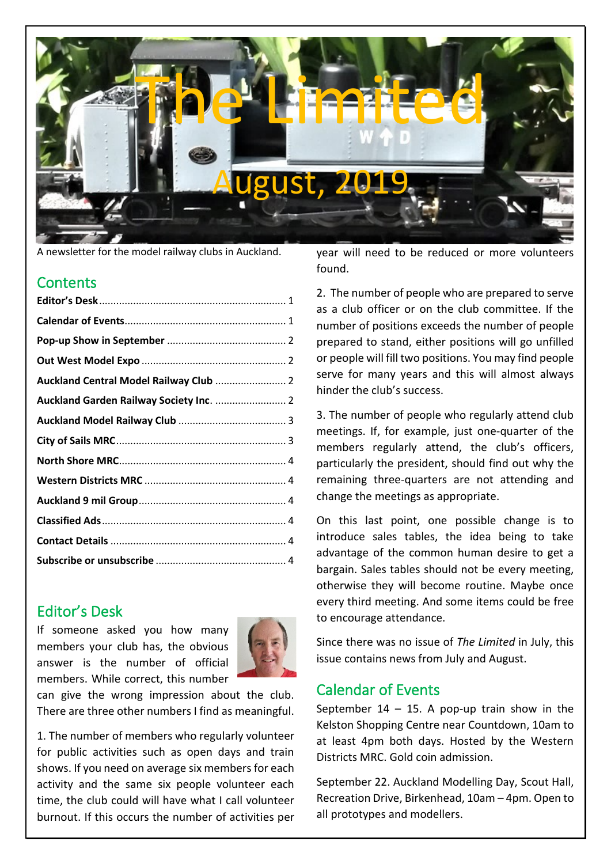

A newsletter for the model railway clubs in Auckland.

# **Contents**

# <span id="page-0-0"></span>Editor's Desk

If someone asked you how many members your club has, the obvious answer is the number of official members. While correct, this number



can give the wrong impression about the club. There are three other numbers I find as meaningful.

1. The number of members who regularly volunteer for public activities such as open days and train shows. If you need on average six members for each activity and the same six people volunteer each time, the club could will have what I call volunteer burnout. If this occurs the number of activities per year will need to be reduced or more volunteers found.

2. The number of people who are prepared to serve as a club officer or on the club committee. If the number of positions exceeds the number of people prepared to stand, either positions will go unfilled or people will fill two positions. You may find people serve for many years and this will almost always hinder the club's success.

3. The number of people who regularly attend club meetings. If, for example, just one-quarter of the members regularly attend, the club's officers, particularly the president, should find out why the remaining three-quarters are not attending and change the meetings as appropriate.

On this last point, one possible change is to introduce sales tables, the idea being to take advantage of the common human desire to get a bargain. Sales tables should not be every meeting, otherwise they will become routine. Maybe once every third meeting. And some items could be free to encourage attendance.

Since there was no issue of *The Limited* in July, this issue contains news from July and August.

# <span id="page-0-1"></span>Calendar of Events

September  $14 - 15$ . A pop-up train show in the Kelston Shopping Centre near Countdown, 10am to at least 4pm both days. Hosted by the Western Districts MRC. Gold coin admission.

September 22. Auckland Modelling Day, Scout Hall, Recreation Drive, Birkenhead, 10am – 4pm. Open to all prototypes and modellers.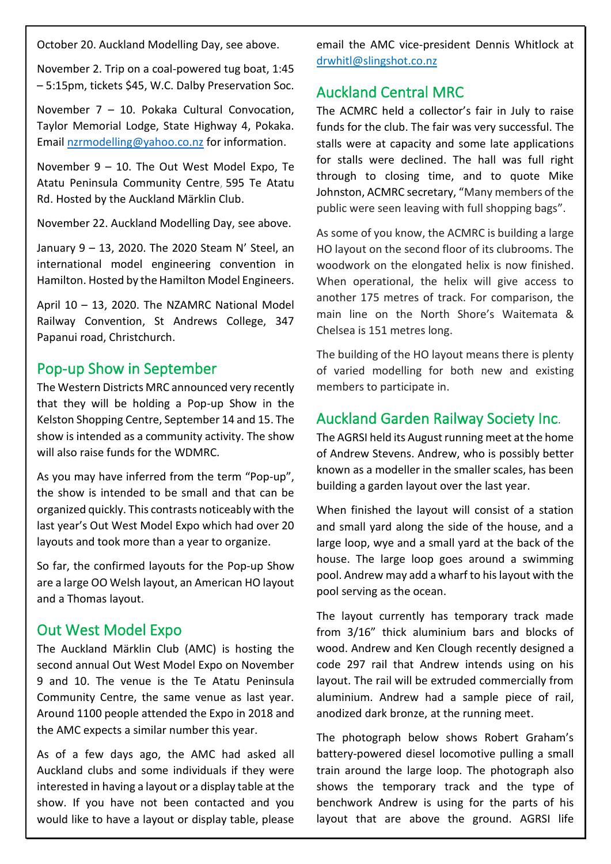October 20. Auckland Modelling Day, see above.

November 2. Trip on a coal-powered tug boat, 1:45 – 5:15pm, tickets \$45, W.C. Dalby Preservation Soc.

November 7 – 10. Pokaka Cultural Convocation, Taylor Memorial Lodge, State Highway 4, Pokaka. Email [nzrmodelling@yahoo.co.nz](mailto:nzrmodelling@yahoo.co.nz) for information.

November 9 – 10. The Out West Model Expo, [Te](https://www.eventfinda.co.nz/venue/te-atatu-peninsula-community-centre-te-atatu-peninsula)  [Atatu Peninsula Community Centre](https://www.eventfinda.co.nz/venue/te-atatu-peninsula-community-centre-te-atatu-peninsula), 595 Te Atatu Rd. Hosted by the Auckland Märklin Club.

November 22. Auckland Modelling Day, see above.

January 9 – 13, 2020. The 2020 Steam N' Steel, an international model engineering convention in Hamilton. Hosted by the Hamilton Model Engineers.

April 10 – 13, 2020. The NZAMRC National Model Railway Convention, St Andrews College, 347 Papanui road, Christchurch.

# <span id="page-1-0"></span>Pop-up Show in September

The Western Districts MRC announced very recently that they will be holding a Pop-up Show in the Kelston Shopping Centre, September 14 and 15. The show is intended as a community activity. The show will also raise funds for the WDMRC.

As you may have inferred from the term "Pop-up", the show is intended to be small and that can be organized quickly. This contrasts noticeably with the last year's Out West Model Expo which had over 20 layouts and took more than a year to organize.

So far, the confirmed layouts for the Pop-up Show are a large OO Welsh layout, an American HO layout and a Thomas layout.

## <span id="page-1-1"></span>Out West Model Expo

The Auckland Märklin Club (AMC) is hosting the second annual Out West Model Expo on November 9 and 10. The venue is the Te Atatu Peninsula Community Centre, the same venue as last year. Around 1100 people attended the Expo in 2018 and the AMC expects a similar number this year.

As of a few days ago, the AMC had asked all Auckland clubs and some individuals if they were interested in having a layout or a display table at the show. If you have not been contacted and you would like to have a layout or display table, please email the AMC vice-president Dennis Whitlock at drwhitl@slingshot.co.nz

# <span id="page-1-2"></span>Auckland Central MRC

The ACMRC held a collector's fair in July to raise funds for the club. The fair was very successful. The stalls were at capacity and some late applications for stalls were declined. The hall was full right through to closing time, and to quote Mike Johnston, ACMRC secretary, "Many members of the public were seen leaving with full shopping bags".

As some of you know, the ACMRC is building a large HO layout on the second floor of its clubrooms. The woodwork on the elongated helix is now finished. When operational, the helix will give access to another 175 metres of track. For comparison, the main line on the North Shore's Waitemata & Chelsea is 151 metres long.

The building of the HO layout means there is plenty of varied modelling for both new and existing members to participate in.

# <span id="page-1-3"></span>Auckland Garden Railway Society Inc.

The AGRSI held its August running meet at the home of Andrew Stevens. Andrew, who is possibly better known as a modeller in the smaller scales, has been building a garden layout over the last year.

When finished the layout will consist of a station and small yard along the side of the house, and a large loop, wye and a small yard at the back of the house. The large loop goes around a swimming pool. Andrew may add a wharf to his layout with the pool serving as the ocean.

The layout currently has temporary track made from 3/16" thick aluminium bars and blocks of wood. Andrew and Ken Clough recently designed a code 297 rail that Andrew intends using on his layout. The rail will be extruded commercially from aluminium. Andrew had a sample piece of rail, anodized dark bronze, at the running meet.

The photograph below shows Robert Graham's battery-powered diesel locomotive pulling a small train around the large loop. The photograph also shows the temporary track and the type of benchwork Andrew is using for the parts of his layout that are above the ground. AGRSI life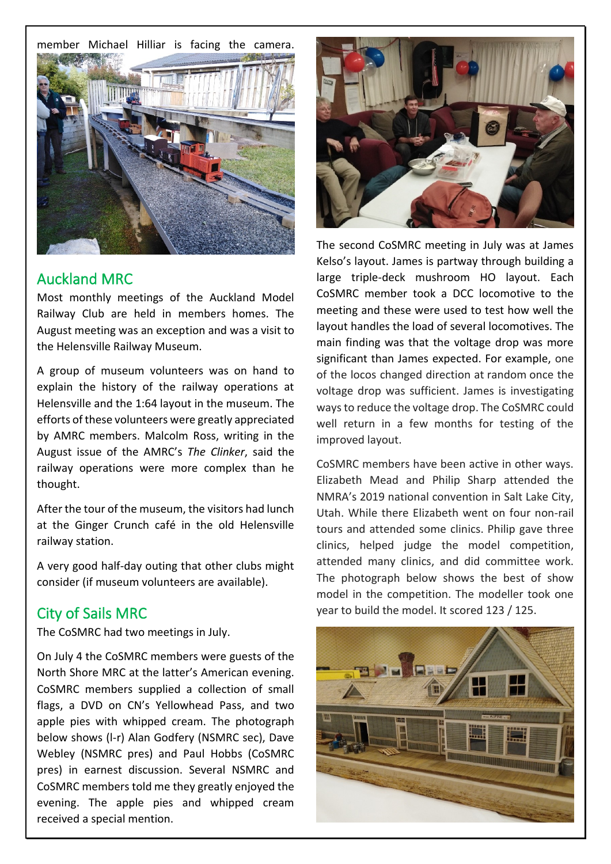member Michael Hilliar is facing the camera.



## <span id="page-2-0"></span>Auckland MRC

Most monthly meetings of the Auckland Model Railway Club are held in members homes. The August meeting was an exception and was a visit to the Helensville Railway Museum.

A group of museum volunteers was on hand to explain the history of the railway operations at Helensville and the 1:64 layout in the museum. The efforts of these volunteers were greatly appreciated by AMRC members. Malcolm Ross, writing in the August issue of the AMRC's *The Clinker*, said the railway operations were more complex than he thought.

After the tour of the museum, the visitors had lunch at the Ginger Crunch café in the old Helensville railway station.

A very good half-day outing that other clubs might consider (if museum volunteers are available).

#### <span id="page-2-1"></span>City of Sails MRC

The CoSMRC had two meetings in July.

On July 4 the CoSMRC members were guests of the North Shore MRC at the latter's American evening. CoSMRC members supplied a collection of small flags, a DVD on CN's Yellowhead Pass, and two apple pies with whipped cream. The photograph below shows (l-r) Alan Godfery (NSMRC sec), Dave Webley (NSMRC pres) and Paul Hobbs (CoSMRC pres) in earnest discussion. Several NSMRC and CoSMRC members told me they greatly enjoyed the evening. The apple pies and whipped cream received a special mention.



The second CoSMRC meeting in July was at James Kelso's layout. James is partway through building a large triple-deck mushroom HO layout. Each CoSMRC member took a DCC locomotive to the meeting and these were used to test how well the layout handles the load of several locomotives. The main finding was that the voltage drop was more significant than James expected. For example, one of the locos changed direction at random once the voltage drop was sufficient. James is investigating ways to reduce the voltage drop. The CoSMRC could well return in a few months for testing of the improved layout.

CoSMRC members have been active in other ways. Elizabeth Mead and Philip Sharp attended the NMRA's 2019 national convention in Salt Lake City, Utah. While there Elizabeth went on four non-rail tours and attended some clinics. Philip gave three clinics, helped judge the model competition, attended many clinics, and did committee work. The photograph below shows the best of show model in the competition. The modeller took one year to build the model. It scored 123 / 125.